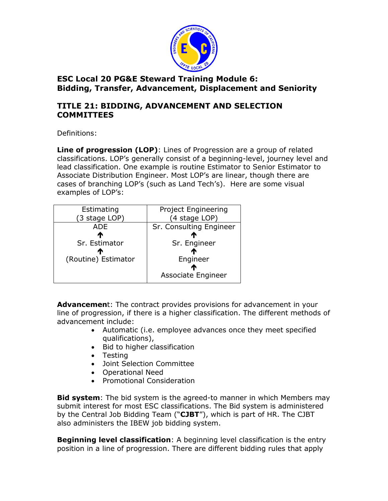

## **TITLE 21: BIDDING, ADVANCEMENT AND SELECTION COMMITTEES**

Definitions:

**Line of progression (LOP)**: Lines of Progression are a group of related classifications. LOP's generally consist of a beginning-level, journey level and lead classification. One example is routine Estimator to Senior Estimator to Associate Distribution Engineer. Most LOP's are linear, though there are cases of branching LOP's (such as Land Tech's). Here are some visual examples of LOP's:

| Estimating          | Project Engineering     |
|---------------------|-------------------------|
| (3 stage LOP)       | (4 stage LOP)           |
| <b>ADE</b>          | Sr. Consulting Engineer |
| Л                   | $\mathbf{r}$            |
| Sr. Estimator       | Sr. Engineer            |
|                     |                         |
| (Routine) Estimator | Engineer                |
|                     | æ                       |
|                     | Associate Engineer      |
|                     |                         |

**Advancemen**t: The contract provides provisions for advancement in your line of progression, if there is a higher classification. The different methods of advancement include:

- Automatic (i.e. employee advances once they meet specified qualifications),
- Bid to higher classification
- Testing
- Joint Selection Committee
- Operational Need
- Promotional Consideration

**Bid system**: The bid system is the agreed-to manner in which Members may submit interest for most ESC classifications. The Bid system is administered by the Central Job Bidding Team ("**CJBT**"), which is part of HR. The CJBT also administers the IBEW job bidding system.

**Beginning level classification**: A beginning level classification is the entry position in a line of progression. There are different bidding rules that apply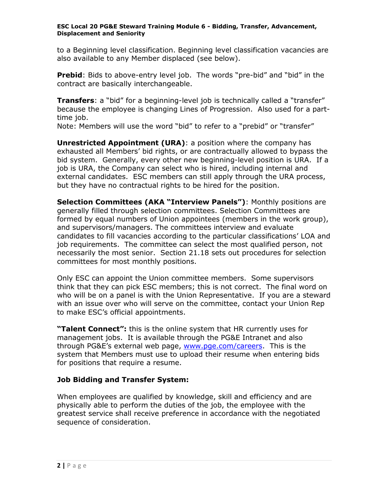to a Beginning level classification. Beginning level classification vacancies are also available to any Member displaced (see below).

**Prebid**: Bids to above-entry level job. The words "pre-bid" and "bid" in the contract are basically interchangeable.

**Transfers**: a "bid" for a beginning-level job is technically called a "transfer" because the employee is changing Lines of Progression. Also used for a parttime *job*.

Note: Members will use the word "bid" to refer to a "prebid" or "transfer"

**Unrestricted Appointment (URA)**: a position where the company has exhausted all Members' bid rights, or are contractually allowed to bypass the bid system. Generally, every other new beginning-level position is URA. If a job is URA, the Company can select who is hired, including internal and external candidates. ESC members can still apply through the URA process, but they have no contractual rights to be hired for the position.

**Selection Committees (AKA "Interview Panels")**: Monthly positions are generally filled through selection committees. Selection Committees are formed by equal numbers of Union appointees (members in the work group), and supervisors/managers. The committees interview and evaluate candidates to fill vacancies according to the particular classifications' LOA and job requirements. The committee can select the most qualified person, not necessarily the most senior. Section 21.18 sets out procedures for selection committees for most monthly positions.

Only ESC can appoint the Union committee members. Some supervisors think that they can pick ESC members; this is not correct. The final word on who will be on a panel is with the Union Representative. If you are a steward with an issue over who will serve on the committee, contact your Union Rep to make ESC's official appointments.

**"Talent Connect":** this is the online system that HR currently uses for management jobs. It is available through the PG&E Intranet and also through PG&E's external web page, [www.pge.com/careers.](http://www.pge.com/careers) This is the system that Members must use to upload their resume when entering bids for positions that require a resume.

## **Job Bidding and Transfer System:**

When employees are qualified by knowledge, skill and efficiency and are physically able to perform the duties of the job, the employee with the greatest service shall receive preference in accordance with the negotiated sequence of consideration.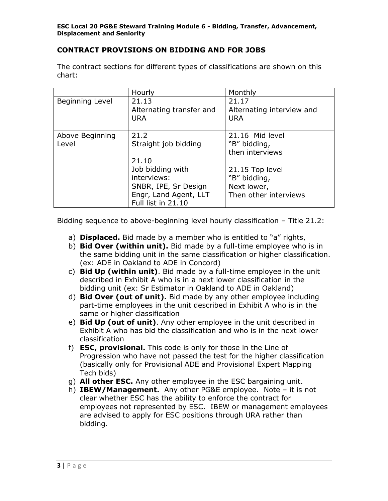### **CONTRACT PROVISIONS ON BIDDING AND FOR JOBS**

The contract sections for different types of classifications are shown on this chart:

|                          | Hourly                                                                                                                                          | Monthly                                                                 |
|--------------------------|-------------------------------------------------------------------------------------------------------------------------------------------------|-------------------------------------------------------------------------|
| Beginning Level          | 21.13<br>Alternating transfer and<br><b>URA</b>                                                                                                 | 21.17<br>Alternating interview and<br><b>URA</b>                        |
| Above Beginning<br>Level | 21.2<br>Straight job bidding<br>21.10<br>Job bidding with<br>interviews:<br>SNBR, IPE, Sr Design<br>Engr, Land Agent, LLT<br>Full list in 21.10 | 21.16 Mid level<br>"B" bidding,<br>then interviews                      |
|                          |                                                                                                                                                 | 21.15 Top level<br>"B" bidding,<br>Next lower,<br>Then other interviews |

Bidding sequence to above-beginning level hourly classification – Title 21.2:

- a) **Displaced.** Bid made by a member who is entitled to "a" rights,
- b) **Bid Over (within unit).** Bid made by a full-time employee who is in the same bidding unit in the same classification or higher classification. (ex: ADE in Oakland to ADE in Concord)
- c) **Bid Up (within unit)**. Bid made by a full-time employee in the unit described in Exhibit A who is in a next lower classification in the bidding unit (ex: Sr Estimator in Oakland to ADE in Oakland)
- d) **Bid Over (out of unit).** Bid made by any other employee including part-time employees in the unit described in Exhibit A who is in the same or higher classification
- e) **Bid Up (out of unit)**. Any other employee in the unit described in Exhibit A who has bid the classification and who is in the next lower classification
- f) **ESC, provisional.** This code is only for those in the Line of Progression who have not passed the test for the higher classification (basically only for Provisional ADE and Provisional Expert Mapping Tech bids)
- g) **All other ESC.** Any other employee in the ESC bargaining unit.
- h) **IBEW/Management.** Any other PG&E employee. Note it is not clear whether ESC has the ability to enforce the contract for employees not represented by ESC. IBEW or management employees are advised to apply for ESC positions through URA rather than bidding.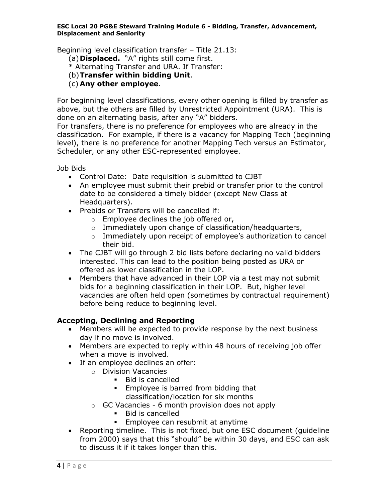Beginning level classification transfer – Title 21.13:

(a)**Displaced.** "A" rights still come first.

\* Alternating Transfer and URA. If Transfer:

- (b)**Transfer within bidding Unit**.
- (c) **Any other employee**.

For beginning level classifications, every other opening is filled by transfer as above, but the others are filled by Unrestricted Appointment (URA). This is done on an alternating basis, after any "A" bidders.

For transfers, there is no preference for employees who are already in the classification. For example, if there is a vacancy for Mapping Tech (beginning level), there is no preference for another Mapping Tech versus an Estimator, Scheduler, or any other ESC-represented employee.

Job Bids

- Control Date: Date requisition is submitted to CJBT
- An employee must submit their prebid or transfer prior to the control date to be considered a timely bidder (except New Class at Headquarters).
- Prebids or Transfers will be cancelled if:
	- o Employee declines the job offered or,
	- o Immediately upon change of classification/headquarters,
	- o Immediately upon receipt of employee's authorization to cancel their bid.
- The CJBT will go through 2 bid lists before declaring no valid bidders interested. This can lead to the position being posted as URA or offered as lower classification in the LOP.
- Members that have advanced in their LOP via a test may not submit bids for a beginning classification in their LOP. But, higher level vacancies are often held open (sometimes by contractual requirement) before being reduce to beginning level.

### **Accepting, Declining and Reporting**

- Members will be expected to provide response by the next business day if no move is involved.
- Members are expected to reply within 48 hours of receiving job offer when a move is involved.
- If an employee declines an offer:
	- o Division Vacancies
		- Bid is cancelled
		- **Employee is barred from bidding that** classification/location for six months
	- $\circ$  GC Vacancies 6 month provision does not apply
		- Bid is cancelled
		- **Employee can resubmit at anytime**
- Reporting timeline. This is not fixed, but one ESC document (guideline from 2000) says that this "should" be within 30 days, and ESC can ask to discuss it if it takes longer than this.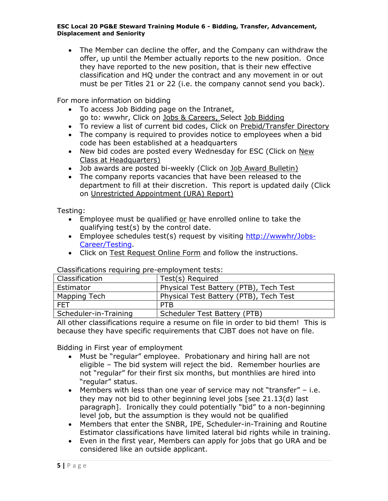The Member can decline the offer, and the Company can withdraw the offer, up until the Member actually reports to the new position. Once they have reported to the new position, that is their new effective classification and HQ under the contract and any movement in or out must be per Titles 21 or 22 (i.e. the company cannot send you back).

For more information on bidding

- To access Job Bidding page on the Intranet, go to: wwwhr, Click on Jobs & Careers, Select Job Bidding
- To review a list of current bid codes, Click on Prebid/Transfer Directory
- The company is required to provides notice to employees when a bid code has been established at a headquarters
- New bid codes are posted every Wednesday for ESC (Click on New Class at Headquarters)
- Job awards are posted bi-weekly (Click on Job Award Bulletin)
- The company reports vacancies that have been released to the department to fill at their discretion. This report is updated daily (Click on Unrestricted Appointment (URA) Report)

Testing:

- **Employee must be qualified or have enrolled online to take the** qualifying test(s) by the control date.
- Employee schedules test(s) request by visiting [http://wwwhr/Jobs-](http://wwwhr/Jobs-Career/Testing)[Career/Testing.](http://wwwhr/Jobs-Career/Testing)
- Click on Test Request Online Form and follow the instructions.

Classifications requiring pre-employment tests:

| Classification        | Test(s) Required                       |
|-----------------------|----------------------------------------|
| Estimator             | Physical Test Battery (PTB), Tech Test |
| Mapping Tech          | Physical Test Battery (PTB), Tech Test |
| <b>FFT</b>            | <b>PTB</b>                             |
| Scheduler-in-Training | Scheduler Test Battery (PTB)           |

All other classifications require a resume on file in order to bid them! This is because they have specific requirements that CJBT does not have on file.

Bidding in First year of employment

- Must be "regular" employee. Probationary and hiring hall are not eligible – The bid system will reject the bid. Remember hourlies are not "regular" for their first six months, but monthlies are hired into "regular" status.
- $\bullet$  Members with less than one year of service may not "transfer" i.e. they may not bid to other beginning level jobs [see 21.13(d) last paragraph]. Ironically they could potentially "bid" to a non-beginning level job, but the assumption is they would not be qualified
- Members that enter the SNBR, IPE, Scheduler-in-Training and Routine Estimator classifications have limited lateral bid rights while in training.
- Even in the first year, Members can apply for jobs that go URA and be considered like an outside applicant.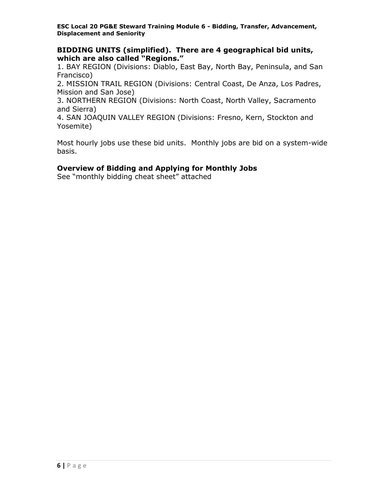**BIDDING UNITS (simplified). There are 4 geographical bid units, which are also called "Regions."** 

1. BAY REGION (Divisions: Diablo, East Bay, North Bay, Peninsula, and San Francisco)

2. MISSION TRAIL REGION (Divisions: Central Coast, De Anza, Los Padres, Mission and San Jose)

3. NORTHERN REGION (Divisions: North Coast, North Valley, Sacramento and Sierra)

4. SAN JOAQUIN VALLEY REGION (Divisions: Fresno, Kern, Stockton and Yosemite)

Most hourly jobs use these bid units. Monthly jobs are bid on a system-wide basis.

### **Overview of Bidding and Applying for Monthly Jobs**

See "monthly bidding cheat sheet" attached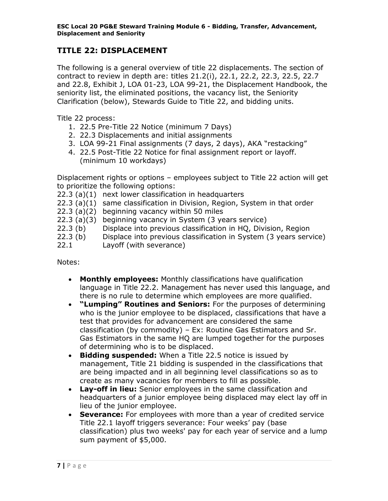# **TITLE 22: DISPLACEMENT**

The following is a general overview of title 22 displacements. The section of contract to review in depth are: titles 21.2(i), 22.1, 22.2, 22.3, 22.5, 22.7 and 22.8, Exhibit J, LOA 01-23, LOA 99-21, the Displacement Handbook, the seniority list, the eliminated positions, the vacancy list, the Seniority Clarification (below), Stewards Guide to Title 22, and bidding units.

Title 22 process:

- 1. 22.5 Pre-Title 22 Notice (minimum 7 Days)
- 2. 22.3 Displacements and initial assignments
- 3. LOA 99-21 Final assignments (7 days, 2 days), AKA "restacking"
- 4. 22.5 Post-Title 22 Notice for final assignment report or layoff. (minimum 10 workdays)

Displacement rights or options – employees subject to Title 22 action will get to prioritize the following options:

- 22.3 (a)(1) next lower classification in headquarters
- 22.3 (a)(1) same classification in Division, Region, System in that order
- 22.3 (a)(2) beginning vacancy within 50 miles
- 22.3 (a)(3) beginning vacancy in System (3 years service)
- 22.3 (b) Displace into previous classification in HQ, Division, Region
- 22.3 (b) Displace into previous classification in System (3 years service)
- 22.1 Layoff (with severance)

Notes:

- **Monthly employees:** Monthly classifications have qualification language in Title 22.2. Management has never used this language, and there is no rule to determine which employees are more qualified.
- **"Lumping" Routines and Seniors:** For the purposes of determining who is the junior employee to be displaced, classifications that have a test that provides for advancement are considered the same classification (by commodity) – Ex: Routine Gas Estimators and Sr. Gas Estimators in the same HQ are lumped together for the purposes of determining who is to be displaced.
- **Bidding suspended:** When a Title 22.5 notice is issued by management, Title 21 bidding is suspended in the classifications that are being impacted and in all beginning level classifications so as to create as many vacancies for members to fill as possible.
- **Lay-off in lieu:** Senior employees in the same classification and headquarters of a junior employee being displaced may elect lay off in lieu of the junior employee.
- **Severance:** For employees with more than a year of credited service Title 22.1 layoff triggers severance: Four weeks' pay (base classification) plus two weeks' pay for each year of service and a lump sum payment of \$5,000.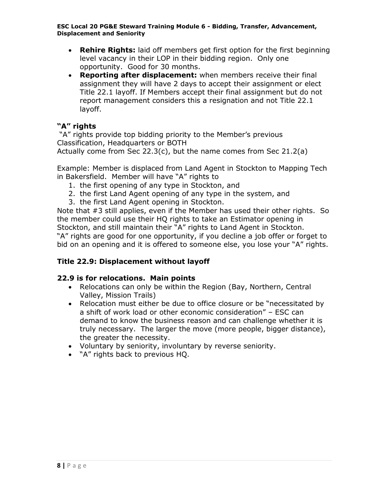- **Rehire Rights:** laid off members get first option for the first beginning level vacancy in their LOP in their bidding region. Only one opportunity. Good for 30 months.
- **Reporting after displacement:** when members receive their final assignment they will have 2 days to accept their assignment or elect Title 22.1 layoff. If Members accept their final assignment but do not report management considers this a resignation and not Title 22.1 layoff.

## **"A" rights**

"A" rights provide top bidding priority to the Member's previous Classification, Headquarters or BOTH Actually come from Sec 22.3(c), but the name comes from Sec 21.2(a)

Example: Member is displaced from Land Agent in Stockton to Mapping Tech in Bakersfield. Member will have "A" rights to

- 1. the first opening of any type in Stockton, and
- 2. the first Land Agent opening of any type in the system, and
- 3. the first Land Agent opening in Stockton.

Note that #3 still applies, even if the Member has used their other rights. So the member could use their HQ rights to take an Estimator opening in Stockton, and still maintain their "A" rights to Land Agent in Stockton. "A" rights are good for one opportunity, if you decline a job offer or forget to bid on an opening and it is offered to someone else, you lose your "A" rights.

## **Title 22.9: Displacement without layoff**

### **22.9 is for relocations. Main points**

- Relocations can only be within the Region (Bay, Northern, Central Valley, Mission Trails)
- Relocation must either be due to office closure or be "necessitated by a shift of work load or other economic consideration" – ESC can demand to know the business reason and can challenge whether it is truly necessary. The larger the move (more people, bigger distance), the greater the necessity.
- Voluntary by seniority, involuntary by reverse seniority.
- "A" rights back to previous HQ.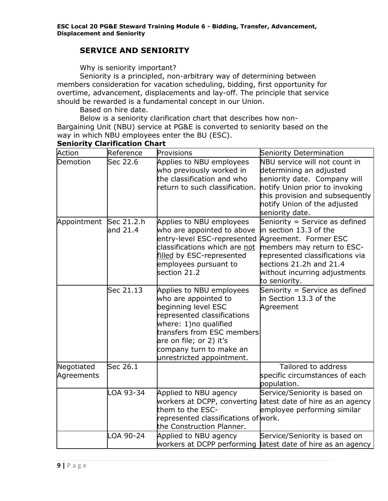## **SERVICE AND SENIORITY**

Why is seniority important?

Seniority is a principled, non-arbitrary way of determining between members consideration for vacation scheduling, bidding, first opportunity for overtime, advancement, displacements and lay-off. The principle that service should be rewarded is a fundamental concept in our Union.

Based on hire date.

Below is a seniority clarification chart that describes how non-Bargaining Unit (NBU) service at PG&E is converted to seniority based on the way in which NBU employees enter the BU (ESC).

| Action                 | Reference  | Provisions                                         | Seniority Determination                                     |
|------------------------|------------|----------------------------------------------------|-------------------------------------------------------------|
| Demotion               | Sec 22.6   | Applies to NBU employees                           | NBU service will not count in                               |
|                        |            | who previously worked in                           | determining an adjusted                                     |
|                        |            | the classification and who                         | seniority date. Company will                                |
|                        |            | return to such classification.                     | notify Union prior to invoking                              |
|                        |            |                                                    | this provision and subsequently                             |
|                        |            |                                                    | notify Union of the adjusted                                |
|                        |            |                                                    | seniority date.                                             |
| Appointment Sec 21.2.h |            | Applies to NBU employees                           | Seniority = Service as defined                              |
|                        | and 21.4   | who are appointed to above                         | in section 13.3 of the                                      |
|                        |            | entry-level ESC-represented                        | Agreement. Former ESC                                       |
|                        |            | classifications which are not                      | members may return to ESC-                                  |
|                        |            | filled by ESC-represented                          | represented classifications via                             |
|                        |            | employees pursuant to                              | sections 21.2h and 21.4                                     |
|                        |            | section 21.2                                       | without incurring adjustments                               |
|                        | Sec 21.13  |                                                    | to seniority.                                               |
|                        |            | Applies to NBU employees                           | Seniority = Service as defined<br>in Section 13.3 of the    |
|                        |            | who are appointed to                               |                                                             |
|                        |            | beginning level ESC<br>represented classifications | Agreement                                                   |
|                        |            | where: 1)no qualified                              |                                                             |
|                        |            | transfers from ESC members                         |                                                             |
|                        |            | are on file; or 2) it's                            |                                                             |
|                        |            | company turn to make an                            |                                                             |
|                        |            | unrestricted appointment.                          |                                                             |
| Negotiated             | Sec $26.1$ |                                                    | Tailored to address                                         |
| Agreements             |            |                                                    | specific circumstances of each                              |
|                        |            |                                                    | population.                                                 |
|                        | LOA 93-34  | Applied to NBU agency                              | Service/Seniority is based on                               |
|                        |            | workers at DCPP, converting                        | latest date of hire as an agency                            |
|                        |            | them to the ESC-                                   | employee performing similar                                 |
|                        |            | represented classifications of work.               |                                                             |
|                        |            | the Construction Planner.                          |                                                             |
|                        | LOA 90-24  | Applied to NBU agency                              | Service/Seniority is based on                               |
|                        |            |                                                    | workers at DCPP performing latest date of hire as an agency |

## **Seniority Clarification Chart**